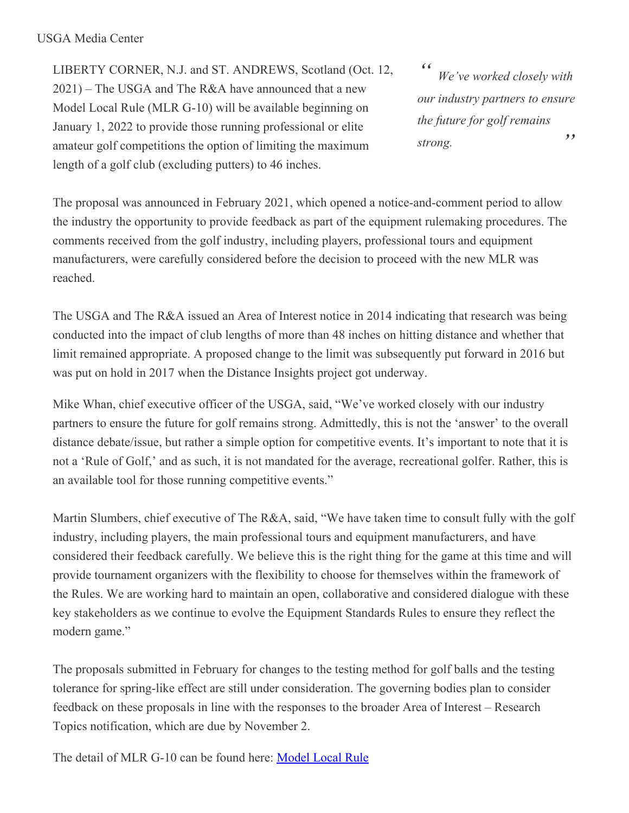## USGA Media Center

LIBERTY CORNER, N.J. and ST. ANDREWS, Scotland (Oct. 12, 2021) – The USGA and The R&A have announced that a new Model Local Rule (MLR G-10) will be available beginning on January 1, 2022 to provide those running professional or elite amateur golf competitions the option of limiting the maximum length of a golf club (excluding putters) to 46 inches.

*" " We've worked closely with our industry partners to ensure the future for golf remains strong.*

The proposal was announced in February 2021, which opened a notice-and-comment period to allow the industry the opportunity to provide feedback as part of the equipment rulemaking procedures. The comments received from the golf industry, including players, professional tours and equipment manufacturers, were carefully considered before the decision to proceed with the new MLR was reached.

The USGA and The R&A issued an Area of Interest notice in 2014 indicating that research was being conducted into the impact of club lengths of more than 48 inches on hitting distance and whether that limit remained appropriate. A proposed change to the limit was subsequently put forward in 2016 but was put on hold in 2017 when the Distance Insights project got underway.

Mike Whan, chief executive officer of the USGA, said, "We've worked closely with our industry partners to ensure the future for golf remains strong. Admittedly, this is not the 'answer' to the overall distance debate/issue, but rather a simple option for competitive events. It's important to note that it is not a 'Rule of Golf,' and as such, it is not mandated for the average, recreational golfer. Rather, this is an available tool for those running competitive events."

Martin Slumbers, chief executive of The R&A, said, "We have taken time to consult fully with the golf industry, including players, the main professional tours and equipment manufacturers, and have considered their feedback carefully. We believe this is the right thing for the game at this time and will provide tournament organizers with the flexibility to choose for themselves within the framework of the Rules. We are working hard to maintain an open, collaborative and considered dialogue with these key stakeholders as we continue to evolve the Equipment Standards Rules to ensure they reflect the modern game."

The proposals submitted in February for changes to the testing method for golf balls and the testing tolerance for spring-like effect are still under consideration. The governing bodies plan to consider feedback on these proposals in line with the responses to the broader Area of Interest – Research Topics notification, which are due by November 2.

The detail of MLR G-10 can be found here: [Model](https://www.usga.org/content/usga/home-page/equipment-standards/notices-and-announcements-47d84789.html) Local Rule